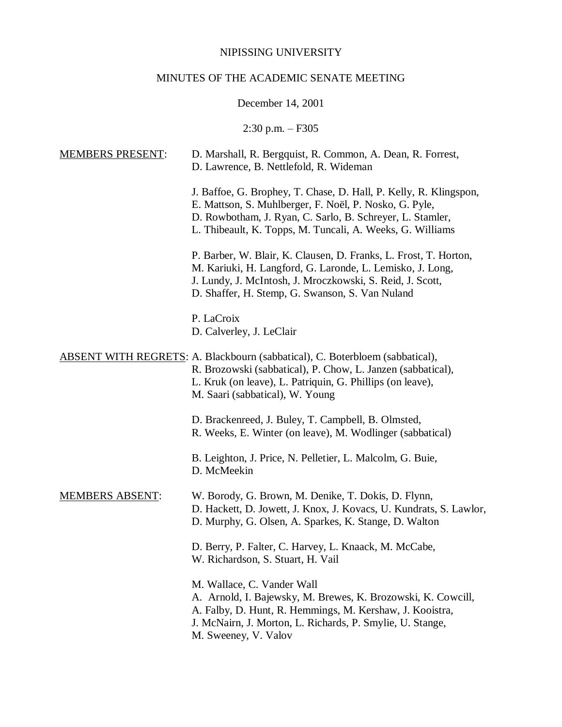#### NIPISSING UNIVERSITY

# MINUTES OF THE ACADEMIC SENATE MEETING

December 14, 2001

2:30 p.m. – F305

# MEMBERS PRESENT: D. Marshall, R. Bergquist, R. Common, A. Dean, R. Forrest, D. Lawrence, B. Nettlefold, R. Wideman J. Baffoe, G. Brophey, T. Chase, D. Hall, P. Kelly, R. Klingspon, E. Mattson, S. Muhlberger, F. Noël, P. Nosko, G. Pyle, D. Rowbotham, J. Ryan, C. Sarlo, B. Schreyer, L. Stamler, L. Thibeault, K. Topps, M. Tuncali, A. Weeks, G. Williams P. Barber, W. Blair, K. Clausen, D. Franks, L. Frost, T. Horton, M. Kariuki, H. Langford, G. Laronde, L. Lemisko, J. Long, J. Lundy, J. McIntosh, J. Mroczkowski, S. Reid, J. Scott, D. Shaffer, H. Stemp, G. Swanson, S. Van Nuland P. LaCroix D. Calverley, J. LeClair ABSENT WITH REGRETS: A. Blackbourn (sabbatical), C. Boterbloem (sabbatical), R. Brozowski (sabbatical), P. Chow, L. Janzen (sabbatical), L. Kruk (on leave), L. Patriquin, G. Phillips (on leave), M. Saari (sabbatical), W. Young D. Brackenreed, J. Buley, T. Campbell, B. Olmsted, R. Weeks, E. Winter (on leave), M. Wodlinger (sabbatical) B. Leighton, J. Price, N. Pelletier, L. Malcolm, G. Buie, D. McMeekin MEMBERS ABSENT: W. Borody, G. Brown, M. Denike, T. Dokis, D. Flynn, D. Hackett, D. Jowett, J. Knox, J. Kovacs, U. Kundrats, S. Lawlor, D. Murphy, G. Olsen, A. Sparkes, K. Stange, D. Walton D. Berry, P. Falter, C. Harvey, L. Knaack, M. McCabe, W. Richardson, S. Stuart, H. Vail M. Wallace, C. Vander Wall A. Arnold, I. Bajewsky, M. Brewes, K. Brozowski, K. Cowcill, A. Falby, D. Hunt, R. Hemmings, M. Kershaw, J. Kooistra, J. McNairn, J. Morton, L. Richards, P. Smylie, U. Stange,

M. Sweeney, V. Valov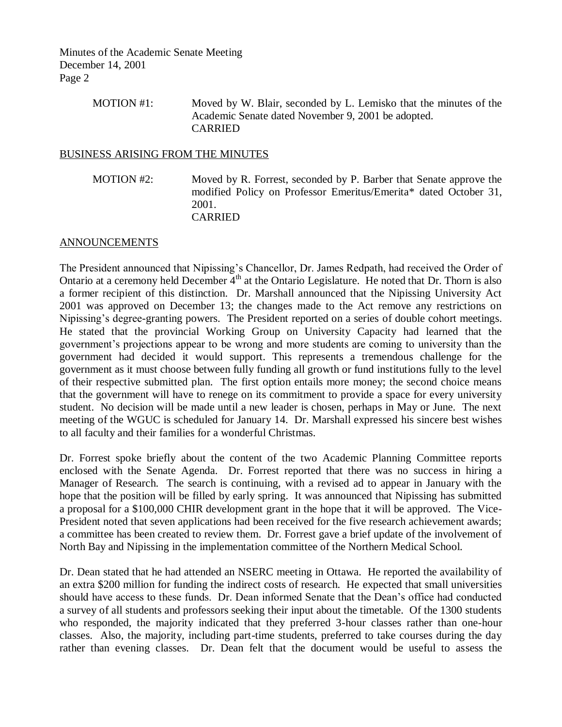| MOTION #1: | Moved by W. Blair, seconded by L. Lemisko that the minutes of the |
|------------|-------------------------------------------------------------------|
|            | Academic Senate dated November 9, 2001 be adopted.                |
|            | <b>CARRIED</b>                                                    |

## BUSINESS ARISING FROM THE MINUTES

MOTION #2: Moved by R. Forrest, seconded by P. Barber that Senate approve the modified Policy on Professor Emeritus/Emerita\* dated October 31, 2001. CARRIED

## ANNOUNCEMENTS

The President announced that Nipissing's Chancellor, Dr. James Redpath, had received the Order of Ontario at a ceremony held December  $4<sup>th</sup>$  at the Ontario Legislature. He noted that Dr. Thorn is also a former recipient of this distinction. Dr. Marshall announced that the Nipissing University Act 2001 was approved on December 13; the changes made to the Act remove any restrictions on Nipissing's degree-granting powers. The President reported on a series of double cohort meetings. He stated that the provincial Working Group on University Capacity had learned that the government's projections appear to be wrong and more students are coming to university than the government had decided it would support. This represents a tremendous challenge for the government as it must choose between fully funding all growth or fund institutions fully to the level of their respective submitted plan. The first option entails more money; the second choice means that the government will have to renege on its commitment to provide a space for every university student. No decision will be made until a new leader is chosen, perhaps in May or June. The next meeting of the WGUC is scheduled for January 14. Dr. Marshall expressed his sincere best wishes to all faculty and their families for a wonderful Christmas.

Dr. Forrest spoke briefly about the content of the two Academic Planning Committee reports enclosed with the Senate Agenda. Dr. Forrest reported that there was no success in hiring a Manager of Research. The search is continuing, with a revised ad to appear in January with the hope that the position will be filled by early spring. It was announced that Nipissing has submitted a proposal for a \$100,000 CHIR development grant in the hope that it will be approved. The Vice-President noted that seven applications had been received for the five research achievement awards; a committee has been created to review them. Dr. Forrest gave a brief update of the involvement of North Bay and Nipissing in the implementation committee of the Northern Medical School.

Dr. Dean stated that he had attended an NSERC meeting in Ottawa. He reported the availability of an extra \$200 million for funding the indirect costs of research. He expected that small universities should have access to these funds. Dr. Dean informed Senate that the Dean's office had conducted a survey of all students and professors seeking their input about the timetable. Of the 1300 students who responded, the majority indicated that they preferred 3-hour classes rather than one-hour classes. Also, the majority, including part-time students, preferred to take courses during the day rather than evening classes. Dr. Dean felt that the document would be useful to assess the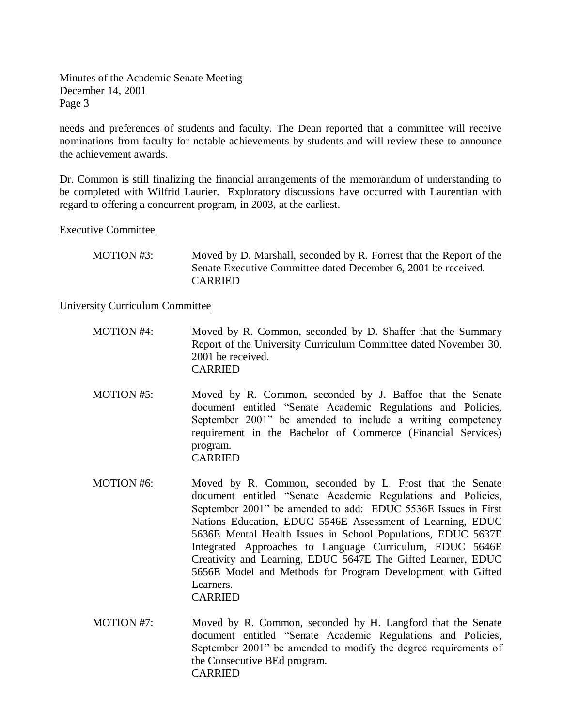needs and preferences of students and faculty. The Dean reported that a committee will receive nominations from faculty for notable achievements by students and will review these to announce the achievement awards.

Dr. Common is still finalizing the financial arrangements of the memorandum of understanding to be completed with Wilfrid Laurier. Exploratory discussions have occurred with Laurentian with regard to offering a concurrent program, in 2003, at the earliest.

## Executive Committee

| MOTION #3: | Moved by D. Marshall, seconded by R. Forrest that the Report of the |
|------------|---------------------------------------------------------------------|
|            | Senate Executive Committee dated December 6, 2001 be received.      |
|            | <b>CARRIED</b>                                                      |

## University Curriculum Committee

| MOTION #4: | Moved by R. Common, seconded by D. Shaffer that the Summary      |
|------------|------------------------------------------------------------------|
|            | Report of the University Curriculum Committee dated November 30, |
|            | 2001 be received.                                                |
|            | <b>CARRIED</b>                                                   |

- MOTION #5: Moved by R. Common, seconded by J. Baffoe that the Senate document entitled "Senate Academic Regulations and Policies, September 2001" be amended to include a writing competency requirement in the Bachelor of Commerce (Financial Services) program. CARRIED
- MOTION #6: Moved by R. Common, seconded by L. Frost that the Senate document entitled "Senate Academic Regulations and Policies, September 2001" be amended to add: EDUC 5536E Issues in First Nations Education, EDUC 5546E Assessment of Learning, EDUC 5636E Mental Health Issues in School Populations, EDUC 5637E Integrated Approaches to Language Curriculum, EDUC 5646E Creativity and Learning, EDUC 5647E The Gifted Learner, EDUC 5656E Model and Methods for Program Development with Gifted Learners. CARRIED
- MOTION #7: Moved by R. Common, seconded by H. Langford that the Senate document entitled "Senate Academic Regulations and Policies, September 2001" be amended to modify the degree requirements of the Consecutive BEd program. CARRIED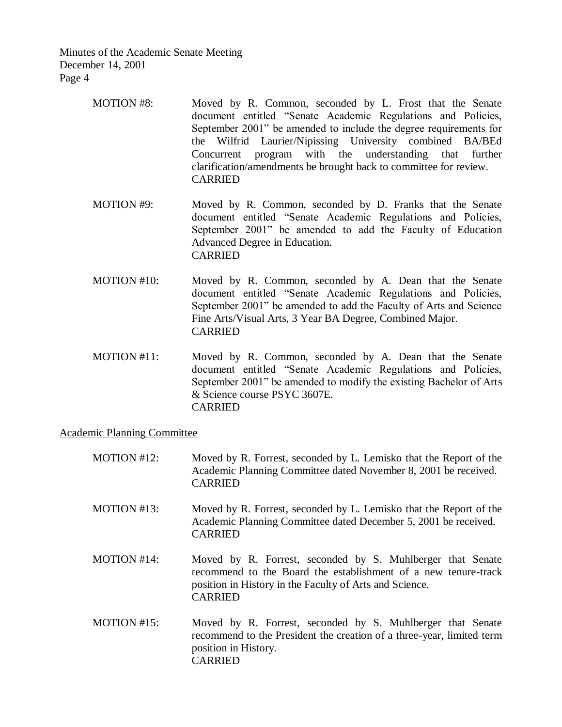- MOTION #8: Moved by R. Common, seconded by L. Frost that the Senate document entitled "Senate Academic Regulations and Policies, September 2001" be amended to include the degree requirements for the Wilfrid Laurier/Nipissing University combined BA/BEd Concurrent program with the understanding that further clarification/amendments be brought back to committee for review. CARRIED
- MOTION #9: Moved by R. Common, seconded by D. Franks that the Senate document entitled "Senate Academic Regulations and Policies, September 2001" be amended to add the Faculty of Education Advanced Degree in Education. CARRIED
- MOTION #10: Moved by R. Common, seconded by A. Dean that the Senate document entitled "Senate Academic Regulations and Policies, September 2001" be amended to add the Faculty of Arts and Science Fine Arts/Visual Arts, 3 Year BA Degree, Combined Major. CARRIED
- MOTION #11: Moved by R. Common, seconded by A. Dean that the Senate document entitled "Senate Academic Regulations and Policies, September 2001" be amended to modify the existing Bachelor of Arts & Science course PSYC 3607E. CARRIED

## Academic Planning Committee

| MOTION #12:        | Moved by R. Forrest, seconded by L. Lemisko that the Report of the<br>Academic Planning Committee dated November 8, 2001 be received.<br><b>CARRIED</b>                                                   |
|--------------------|-----------------------------------------------------------------------------------------------------------------------------------------------------------------------------------------------------------|
| MOTION #13:        | Moved by R. Forrest, seconded by L. Lemisko that the Report of the<br>Academic Planning Committee dated December 5, 2001 be received.<br><b>CARRIED</b>                                                   |
| <b>MOTION</b> #14: | Moved by R. Forrest, seconded by S. Muhlberger that Senate<br>recommend to the Board the establishment of a new tenure-track<br>position in History in the Faculty of Arts and Science.<br><b>CARRIED</b> |
| MOTION #15:        | Moved by R. Forrest, seconded by S. Muhlberger that Senate<br>recommend to the President the creation of a three-year, limited term<br>position in History.<br><b>CARRIED</b>                             |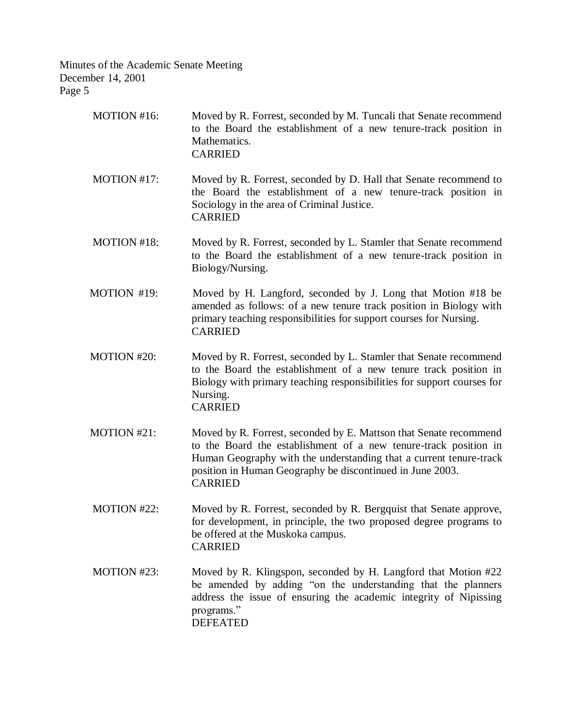| MOTION #16:        | Moved by R. Forrest, seconded by M. Tuncali that Senate recommend<br>to the Board the establishment of a new tenure-track position in<br>Mathematics.<br><b>CARRIED</b>                                                                                                                    |
|--------------------|--------------------------------------------------------------------------------------------------------------------------------------------------------------------------------------------------------------------------------------------------------------------------------------------|
| MOTION #17:        | Moved by R. Forrest, seconded by D. Hall that Senate recommend to<br>the Board the establishment of a new tenure-track position in<br>Sociology in the area of Criminal Justice.<br><b>CARRIED</b>                                                                                         |
| MOTION #18:        | Moved by R. Forrest, seconded by L. Stamler that Senate recommend<br>to the Board the establishment of a new tenure-track position in<br>Biology/Nursing.                                                                                                                                  |
| MOTION #19:        | Moved by H. Langford, seconded by J. Long that Motion #18 be<br>amended as follows: of a new tenure track position in Biology with<br>primary teaching responsibilities for support courses for Nursing.<br><b>CARRIED</b>                                                                 |
| <b>MOTION #20:</b> | Moved by R. Forrest, seconded by L. Stamler that Senate recommend<br>to the Board the establishment of a new tenure track position in<br>Biology with primary teaching responsibilities for support courses for<br>Nursing.<br><b>CARRIED</b>                                              |
| MOTION #21:        | Moved by R. Forrest, seconded by E. Mattson that Senate recommend<br>to the Board the establishment of a new tenure-track position in<br>Human Geography with the understanding that a current tenure-track<br>position in Human Geography be discontinued in June 2003.<br><b>CARRIED</b> |
| MOTION #22:        | Moved by R. Forrest, seconded by R. Bergquist that Senate approve,<br>for development, in principle, the two proposed degree programs to<br>be offered at the Muskoka campus.<br><b>CARRIED</b>                                                                                            |
| MOTION #23:        | Moved by R. Klingspon, seconded by H. Langford that Motion #22<br>be amended by adding "on the understanding that the planners<br>address the issue of ensuring the academic integrity of Nipissing<br>programs."<br><b>DEFEATED</b>                                                       |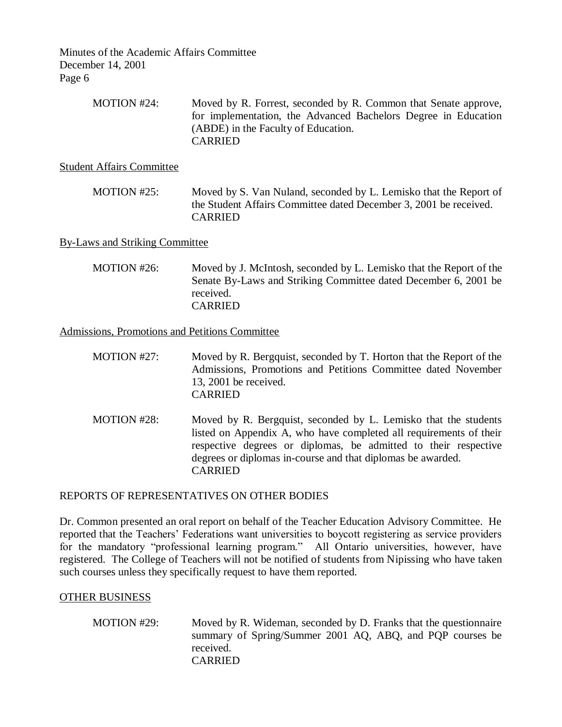Minutes of the Academic Affairs Committee December 14, 2001 Page 6

| MOTION #24: | Moved by R. Forrest, seconded by R. Common that Senate approve, |
|-------------|-----------------------------------------------------------------|
|             | for implementation, the Advanced Bachelors Degree in Education  |
|             | (ABDE) in the Faculty of Education.                             |
|             | <b>CARRIED</b>                                                  |

Student Affairs Committee

MOTION #25: Moved by S. Van Nuland, seconded by L. Lemisko that the Report of the Student Affairs Committee dated December 3, 2001 be received. CARRIED

#### By-Laws and Striking Committee

MOTION #26: Moved by J. McIntosh, seconded by L. Lemisko that the Report of the Senate By-Laws and Striking Committee dated December 6, 2001 be received. CARRIED

Admissions, Promotions and Petitions Committee

| MOTION $#27$ : | Moved by R. Bergquist, seconded by T. Horton that the Report of the |
|----------------|---------------------------------------------------------------------|
|                | Admissions, Promotions and Petitions Committee dated November       |
|                | 13, 2001 be received.                                               |
|                | <b>CARRIED</b>                                                      |

MOTION #28: Moved by R. Bergquist, seconded by L. Lemisko that the students listed on Appendix A, who have completed all requirements of their respective degrees or diplomas, be admitted to their respective degrees or diplomas in-course and that diplomas be awarded. CARRIED

## REPORTS OF REPRESENTATIVES ON OTHER BODIES

Dr. Common presented an oral report on behalf of the Teacher Education Advisory Committee. He reported that the Teachers' Federations want universities to boycott registering as service providers for the mandatory "professional learning program." All Ontario universities, however, have registered. The College of Teachers will not be notified of students from Nipissing who have taken such courses unless they specifically request to have them reported.

#### OTHER BUSINESS

MOTION #29: Moved by R. Wideman, seconded by D. Franks that the questionnaire summary of Spring/Summer 2001 AQ, ABQ, and PQP courses be received. CARRIED